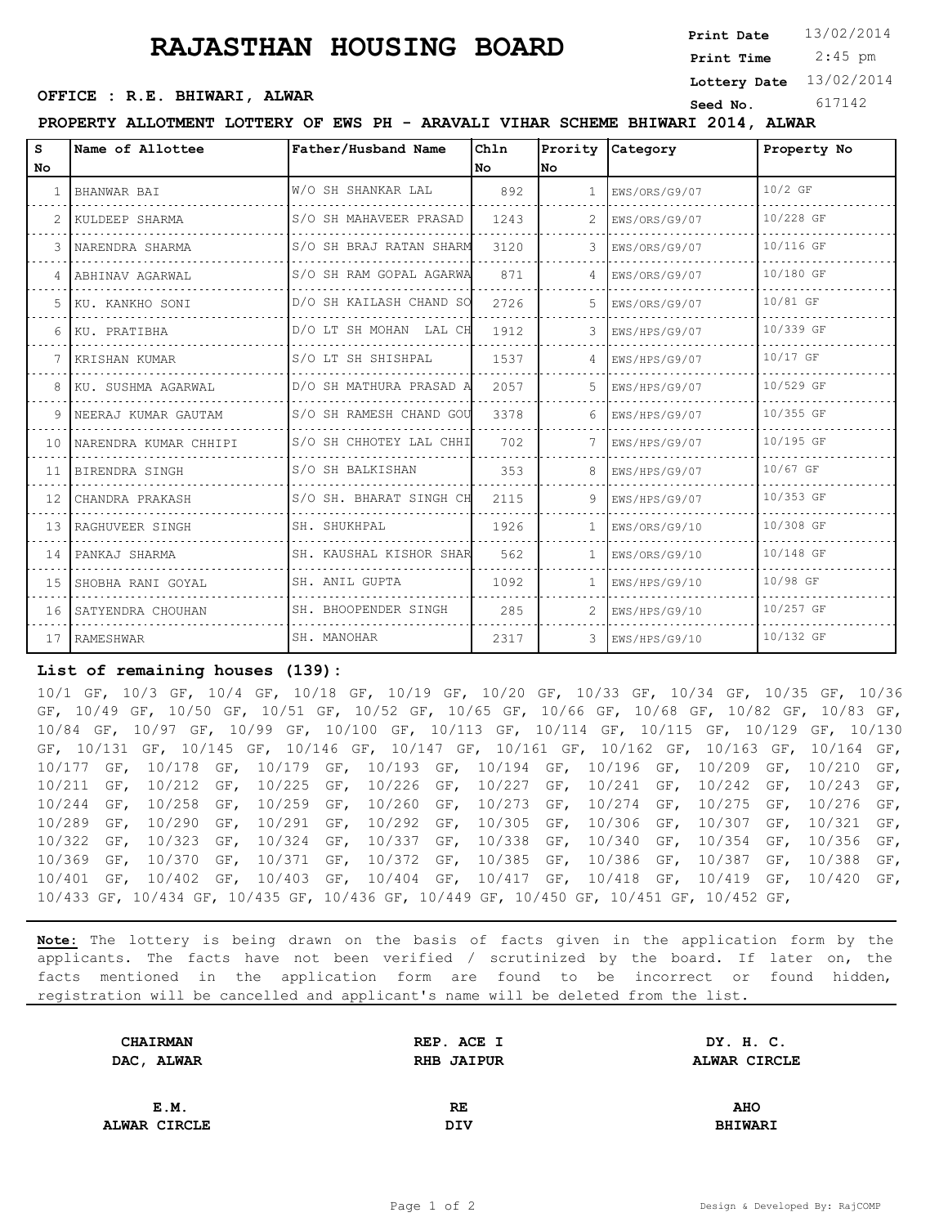## **RAJASTHAN HOUSING BOARD** Print Date 13/02/2014

**Print Date**

 2:45 pm **Print Time**

**Lottery Date** 13/02/2014

## **Seed No.** 617142 **OFFICE : R.E. BHIWARI, ALWAR**

**PROPERTY ALLOTMENT LOTTERY OF EWS PH - ARAVALI VIHAR SCHEME BHIWARI 2014, ALWAR**

| s   | Name of Allottee          | Father/Husband Name     | Chln |               | Prority Category  | Property No |
|-----|---------------------------|-------------------------|------|---------------|-------------------|-------------|
| No. |                           |                         | l No | lNo.          |                   |             |
|     | BHANWAR BAI               | W/O SH SHANKAR LAL      | 892  |               | EWS/ORS/G9/07     | $10/2$ GF   |
|     | KULDEEP SHARMA            | S/O SH MAHAVEER PRASAD  | 1243 |               | EWS/ORS/G9/07     | 10/228 GF   |
|     | NARENDRA SHARMA           | S/O SH BRAJ RATAN SHARM | 3120 |               | EWS/ORS/G9/07     | 10/116 GF   |
|     | 4 ABHINAV AGARWAL         | S/O SH RAM GOPAL AGARWA | 871  |               | EWS/ORS/G9/07     | 10/180 GF   |
|     | 5 KU. KANKHO SONI         | D/O SH KAILASH CHAND SO | 2726 | .5            | EWS/ORS/G9/07     | 10/81 GF    |
|     | 6 KU. PRATIBHA            | D/O LT SH MOHAN LAL CH  | 1912 |               | EWS/HPS/G9/07     | 10/339 GF   |
|     | 7 KRISHAN KUMAR           | S/O LT SH SHISHPAL      | 1537 |               | EWS/HPS/G9/07     | 10/17 GF    |
|     | 8 KU. SUSHMA AGARWAL      | D/O SH MATHURA PRASAD A | 2057 | 5.            | EWS/HPS/G9/07     | 10/529 GF   |
|     | 9 INEERAJ KUMAR GAUTAM    | S/O SH RAMESH CHAND GOU | 3378 |               | EWS/HPS/G9/07     | 10/355 GF   |
|     | 10 INARENDRA KUMAR CHHIPI | S/O SH CHHOTEY LAL CHHI | 702  |               | EWS/HPS/G9/07     | 10/195 GF   |
|     | 11 BIRENDRA SINGH         | S/O SH BALKISHAN        | 353  | 8.            | EWS/HPS/G9/07     | 10/67 GF    |
|     | 12 CHANDRA PRAKASH        | S/O SH. BHARAT SINGH CH | 2115 | 9.            | EWS/HPS/G9/07     | 10/353 GF   |
|     | 13 RAGHUVEER SINGH        | SH. SHUKHPAL            | 1926 | $\mathbf{1}$  | EWS/ORS/G9/10     | 10/308 GF   |
|     | 14 IPANKAJ SHARMA         | SH. KAUSHAL KISHOR SHAR | 562  | $\mathbf{1}$  | EWS/ORS/G9/10     | 10/148 GF   |
|     | 15 SHOBHA RANI GOYAL      | SH. ANIL GUPTA          | 1092 | $\mathbf{1}$  | EWS/HPS/G9/10     | 10/98 GF    |
|     | 16 SATYENDRA CHOUHAN      | SH. BHOOPENDER SINGH    | 285  | $\mathcal{L}$ | KWS/HPS/G9/10     | 10/257 GF   |
|     | 17 RAMESHWAR              | SH. MANOHAR             | 2317 |               | $3$ EWS/HPS/G9/10 | 10/132 GF   |

## **List of remaining houses (139):**

10/1 GF, 10/3 GF, 10/4 GF, 10/18 GF, 10/19 GF, 10/20 GF, 10/33 GF, 10/34 GF, 10/35 GF, 10/36 GF, 10/49 GF, 10/50 GF, 10/51 GF, 10/52 GF, 10/65 GF, 10/66 GF, 10/68 GF, 10/82 GF, 10/83 GF, 10/84 GF, 10/97 GF, 10/99 GF, 10/100 GF, 10/113 GF, 10/114 GF, 10/115 GF, 10/129 GF, 10/130 GF, 10/131 GF, 10/145 GF, 10/146 GF, 10/147 GF, 10/161 GF, 10/162 GF, 10/163 GF, 10/164 GF, 10/177 GF, 10/178 GF, 10/179 GF, 10/193 GF, 10/194 GF, 10/196 GF, 10/209 GF, 10/210 GF, 10/211 GF, 10/212 GF, 10/225 GF, 10/226 GF, 10/227 GF, 10/241 GF, 10/242 GF, 10/243 GF, 10/244 GF, 10/258 GF, 10/259 GF, 10/260 GF, 10/273 GF, 10/274 GF, 10/275 GF, 10/276 GF, 10/289 GF, 10/290 GF, 10/291 GF, 10/292 GF, 10/305 GF, 10/306 GF, 10/307 GF, 10/321 GF, 10/322 GF, 10/323 GF, 10/324 GF, 10/337 GF, 10/338 GF, 10/340 GF, 10/354 GF, 10/356 GF, 10/369 GF, 10/370 GF, 10/371 GF, 10/372 GF, 10/385 GF, 10/386 GF, 10/387 GF, 10/388 GF, 10/401 GF, 10/402 GF, 10/403 GF, 10/404 GF, 10/417 GF, 10/418 GF, 10/419 GF, 10/420 GF, 10/433 GF, 10/434 GF, 10/435 GF, 10/436 GF, 10/449 GF, 10/450 GF, 10/451 GF, 10/452 GF,

**Note:** The lottery is being drawn on the basis of facts given in the application form by the applicants. The facts have not been verified / scrutinized by the board. If later on, the facts mentioned in the application form are found to be incorrect or found hidden, registration will be cancelled and applicant's name will be deleted from the list.

| <b>CHAIRMAN</b>   | REP. ACE I        | DY. H. C.      |  |
|-------------------|-------------------|----------------|--|
| <b>DAC, ALWAR</b> | <b>RHB JAIPUR</b> | ALWAR CIRCLE   |  |
|                   |                   |                |  |
| E.M.              | RE.               | <b>AHO</b>     |  |
| ALWAR CIRCLE      | DIV               | <b>BHIWARI</b> |  |